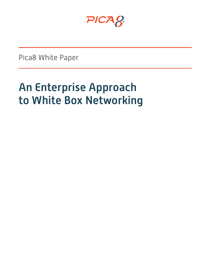PICA8

Pica8 White Paper

# An Enterprise Approach to White Box Networking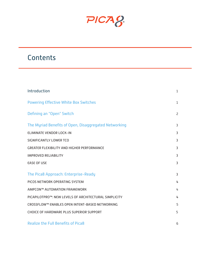PICA8

## **Contents**

| Introduction                                          | $\mathbf{1}$   |
|-------------------------------------------------------|----------------|
| <b>Powering Effective White Box Switches</b>          | $\mathbf{1}$   |
| Defining an "Open" Switch                             | $\overline{2}$ |
| The Myriad Benefits of Open, Disaggregated Networking | 3              |
| <b>ELIMINATE VENDOR LOCK-IN</b>                       | 3              |
| <b>SIGNIFICANTLY LOWER TCO</b>                        | 3              |
| <b>GREATER FLEXIBILITY AND HIGHER PERFORMANCE</b>     | 3              |
| <b>IMPROVED RELIABILITY</b>                           | 3              |
| <b>EASE OF USE</b>                                    | 3              |
| The Pica8 Approach: Enterprise-Ready                  | 3              |
| PICOS NETWORK OPERATING SYSTEM                        | 4              |
| AMPCON™ AUTOMATION FRAMEWORK                          | 4              |
| PICAPILOTPRO™: NEW LEVELS OF ARCHITECTURAL SIMPLICITY | 4              |
| CROSSFLOW™ ENABLES OPEN INTENT-BASED NETWORKING       | 5              |
| CHOICE OF HARDWARE PLUS SUPERIOR SUPPORT              | 5              |
| <b>Realize the Full Benefits of Pica8</b>             | 6              |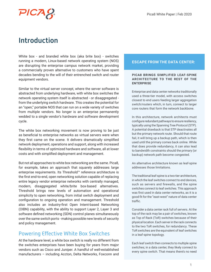

## Introduction

White box - and branded white box (aka brite box) - switches running a modern, Linux-based network operating system (NOS) are disrupting the enterprise campus network market, providing a commercially proven alternative to customers who have spent decades bending to the will of their entrenched switch and router equipment vendors.

Similar to the virtual server concept, where the server software is abstracted from underlying hardware, with white box switches the network operating system itself is abstracted - or disaggregated from the underlying switch hardware. This creates the potential for an "open," portable NOS that can run on a wide variety of switches from multiple vendors. No longer is an enterprise permanently wedded to a single vendor's hardware and software development cycle.

The white box networking movement is now proving to be just as beneficial to enterprise networks as virtual servers were when they first came on the scene. It delivers dramatically simplified network deployment, operations and support, along with increased flexibility in terms of optimized hardware and software, all at lower costs and with simplified deployment and management.

But not all approaches to white box networking are the same. Pica8, for example, takes an approach that squarely addresses large enterprise requirements. Its Threshold™ reference architecture is the first end-to-end, open networking solution capable of replacing entire legacy vendor enterprise networks with centrally managed, modern, disaggregated white/brite box-based alternatives. Threshold brings new levels of automation and operational simplicity to open networking, from initial switch deployment and configuration to ongoing operation and management. Threshold also includes an industry-first Open Intent-based Networking (OIBN) capability, with the ability to support Layer 2, Layer 3 and software defined networking (SDN) control planes simultaneously over the same switch ports - making possible new levels of security and policy management.

### Powering Effective White Box Switches

At the hardware level, a white box switch is really no different from the switches enterprises have been buying for years from major vendors such as Cisco and Juniper. A handful of well-established manufacturers – including Accton, Delta Networks, Foxconn and

#### **ESCAPE FROM THE DATA CENTER:**

#### **PICA8 BRINGS SIMPLIFIED LEAF-SPINE ARCHITECTURE TO THE REST OF THE ENTERPRISE**

Enterprise and data center networks traditionally used a three-tier model, with access switches closest to end users feeding larger aggregation switch/routers which, in turn, connect to larger core routers that form the network backbone.

In this architecture, network architects must configure redundant pathways to ensure resiliency, typically using the Spanning Tree Protocol (STP). A potential drawback is that STP deactivates all but the primary network route. Should that route fail, it will bring up a backup path, which is then used until the primary comes back online. While that does provide redundancy, it can also lead to bandwidth constraints should the primary (or backup) network path become congested.

An alternative architecture known as leaf-spine addresses those limitations.

The traditional leaf-spine is a two-tier architecture, in which the leaf switches connect to end devices, such as servers and firewalls, and the spine switches connect to leaf switches. This approach was first used in data center networks, as it is a good fit for the "east-west" nature of data center traffic.

Consider a data center rack full of servers. At the top of the rack may be a pair of switches, known as Top of Rack (ToR) switches because of their physical location. Each server in the rack connects to the two ToR switches, for redundancy. These ToR switches are the equivalent of leaf switches in a leaf-spine topology.

Each leaf switch then connects to multiple spine switches; in a data center, they likely connect to every spine switch. That means there's no need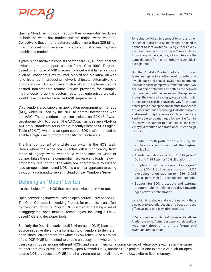

Quanta Cloud Technology – supply their commodity hardware to both the white box market and the major switch vendors. Collectively, these manufacturers collect more than \$25 billion in annual switching revenue  $-$  a sure sign of a healthy, wellestablished market.

Typically, the hardware consists of standard 1U, 48-port Ethernet switches and can support speeds from 1G to 100G. They are based on a choice of ASICs, again from well-established vendors such as Broadcom, Cavium, Intel, Marvell and Mellanox, all with long histories in producing network chipsets. Alternatively, a proprietary switch could use a custom ASIC to implement some desired, non-standard feature. Service providers, for example, may choose to go the custom route, but enterprises typically would have no such specialized ASIC requirements.

Chip vendors also supply an application programming interface (API), which is used by the NOS to control interactions with the ASIC. These vendors may also include an SDK (Software Development Kit) to program the ASIC, such as to set up a VLAN or ACL entry. Broadcom, for example, recently released SDK Logical Table (SDKLT), which is an open source SDK that's intended to enable a high level of programmability for its chipsets.

The final component of a white box switch is the NOS itself. Here's where the white box switches differ significantly from those of legacy switch vendors. A vendor such as Cisco or Juniper takes the same commodity hardware and loads its own, proprietary NOS on top. The white box alternative is to instead load an open, Linux-based NOS. It's a similar approach to using Linux on a commodity server instead of, say, Windows Server.

### Defining an "Open" Switch

It's the choice of the NOS that makes a switch open – or not.

Open networking software uses an open source Linux-based OS. The Open Compute Networking Project, for example, is an effort by the Open Compute Project (OCP) aimed at creating a set of disaggregated, open network technologies, including a Linuxbased NOS and developer tools.

Similarly, the Open Network Install Environment (ONIE) is an open source initiative driven by a community of vendors to define an open "install environment" for white box switches. Also a project of the OCP, ONIE is intended to enable an ecosystem where end for spine switches to connect to one another. Rather, all ports on a spine switch are used to connect to leaf switches, using either Layer 2 switched connections or Layer 3 routed links. From a logical perspective, all switches are the same distance from one another – reachable in a single "hop."

But the PicaPilotPro technology from Pica8 takes leaf-spine to another level for enterprise switch stack and chassis switch replacements. It extracts all the complexity from traditional twotier leaf-spine networks and flattens the network by managing both the leaves and the spines as though they were all a single, logical switch with no hierarchy. Pica8 has paved the way for the data center-proven leaf-spine architecture to extend to the wider enterprise by turning it into the simplest and easiest to deploy network architecture of any kind – able to be managed by any SysAdmin. PICOS with PicaPilotPro maintains all the Layer 2/Layer 3 features of a traditional 3-tier design, including:

- Resilient multi-path fabric ensuring the applications and users get the highest availability
- A switching fabric capacity of 176 Gbps for 1 GbE and 1.28 Tbps for 10 GbE platforms
- Simple and flexible scale-out topologies:\* Up to 2,304 1 GbE access ports with 1.2:1 oversubscription ratio, up to 1,536 10 GbE access ports with 2:1 oversubscription ratio
- Support for SDN protocols and external programmability, helping you drive towards agile network orchestration

It's a highly scalable and secure network that's also easy to upgrade, because it's based on costeffective, plug-and-play infrastructure.

\* Recommended configurations using Pica8 preloaded systems. Actual customer configurations may vary depending on platforms and oversubscription ratios.

users can choose among different NOSs and install them on a common set of white box switches in the same manner that they provision servers. Open Network Linux, another OCP project, is one example of such an open source NOS that uses the ONIE install environment to install into a white box switch's flash memory.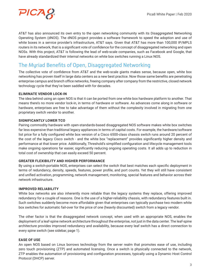

AT&T has also announced its own entry to the open networking community with its Disaggregated Networking Operating System (dNOS). The dNOS project provides a software framework to speed the adoption and use of white boxes in a service provider's infrastructure, AT&T says. Given that AT&T has more than 100,000 IP/MPLS routers in its network, that is a significant vote of confidence for the concept of disaggregated networking and open NOSs. With this project, AT&T is following the lead of web-scale companies, such as Facebook and Google, that have already standardized their internal networks on white box switches running a Linux NOS.

## The Myriad Benefits of Open, Disaggregated Networking

The collective vote of confidence from AT&T and the web-scale giants makes sense, because open, white box networking has proven itself in large data centers as a new best practice. Now those same benefits are penetrating enterprise campus and branch office networks, freeing company after company from the restrictive, closed network technology cycle that they've been saddled with for decades.

#### **ELIMINATE VENDOR LOCK-IN**

The idea behind using an open NOS is that it can be ported from one white box hardware platform to another. That means there's no more vendor lock-in, in terms of hardware or software. As advances come along in software or hardware, enterprises are free to take advantage of them without the complexity involved in migrating from one proprietary switch vendor to another.

#### **SIGNIFICANTLY LOWER TCO**

Pairing commodity hardware with open-standards-based disaggregated NOS software makes white box switches far less expensive than traditional legacy appliances in terms of capital costs. For example, the hardware/software list price for a fully configured white box version of a Cisco 6500-class chassis switch runs around 20 percent of the cost of the legacy Cisco switch - and the white box "replacement" provides significantly higher density and performance at that lower price. Additionally, Threshold's simplified configuration and lifecycle management tools make ongoing operations far easier, significantly reducing ongoing operating costs. It all adds up to reduction in total cost of ownership that can easily exceed 50 percent.

#### **GREATER FLEXIBILITY AND HIGHER PERFORMANCE**

By using a switch-portable NOS, enterprises can select the switch that best matches each specific deployment in terms of redundancy, density, speeds, features, power profile, and port counts. Yet they will still have consistent and unified activation, programming, network management, monitoring, special features and behavior across their network infrastructure.

#### **IMPROVED RELIABILITY**

White box networks are also inherently more reliable than the legacy systems they replace, offering improved redundancy for a couple of reasons. One is the use of a higher-reliability chassis, with redundancy features built in. Such switches suddenly become more affordable given that enterprises can typically purchase two modern white box switches for automatic fail-over for the price of one (heavily discounted) switch from a legacy vendor.

The other factor is that the disaggregated network concept, when used with an appropriate NOS, enables the deployment of a leaf-spine network architecture throughout the enterprise, not just in the data center. The leaf-spine architecture provides improved redundancy and availability, because every leaf switch has a direct connection to every spine switch (see sidebar, page 1).

#### **EASE OF USE**

An open NOS based on Linux borrows technology from the server realm that promotes ease of use, including zero touch provisioning (ZTP) and automated licensing. Once a switch is physically connected to the network, ZTP enables the automation of provisioning and configuration processes, typically using a Dynamic Host Control Protocol (DHCP) server.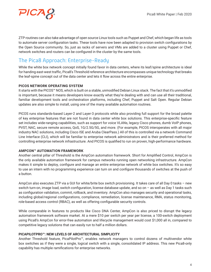

ZTP routines can also take advantage of open source Linux tools such as Puppet and Chef, which began life as tools to automate server configuration tasks. These tools have now been adapted to provision switch configurations by the Open Source community. So, just as racks of servers and VMs are added to a cluster using Puppet or Chef, network switches and routers can be configured in the cluster by the same tools.

## The Pica8 Approach: Enterprise-Ready

While the white box network concept initially found favor in data centers, where its leaf/spine architecture is ideal for handing east-west traffic, Pica8's Threshold reference architecture encompasses unique technology that breaks the leaf-spine concept out of the data center and lets it flow across the entire enterprise.

#### **PICOS NETWORK OPERATING SYSTEM**

It starts with the PICOS™ NOS, which is built on a stable, unmodified Debian Linux stack. The fact that it's unmodified is important, because it means developers know exactly what they're dealing with and can use all their traditional, familiar development tools and orchestration platforms, including Chef, Puppet and Salt Open. Regular Debian updates are also simple to install, using one of the many available automation routines.

PICOS runs standards-based Layer-2 and Layer-3 protocols while also providing full support for the broad palette of key enterprise features that are not found in data center white box solutions. This enterprise-specific feature set includes wide-ranging capabilities, such as support for voice VLANs, legacy Cisco phones, dumb VoIP phones, PVST, NAC, secure remote access, QoS, 1G/2.5G/5G, and more. (For example, PICOS interoperates with all major industry NAC solutions, including Cisco ISE and Aruba ClearPass.) All of this is controlled via a network Command Line Interface (CLI), which will be familiar to enterprise network administrators and is their preferred method for controlling enterprise network infrastructure. And PICOS is qualified to run on proven, high-performance hardware.

#### **AMPCON™ AUTOMATION FRAMEWORK**

Another central pillar of Threshold is the AmpCon automation framework. Short for Amplified Control, AmpCon is the only available automation framework for campus networks running open networking infrastructure. AmpCon makes it simple to deploy, configure and manage an entire enterprise network of white box switches. It's so easy to use an intern with no programming experience can turn on and configure thousands of switches at the push of a button.

AmpCon also executes ZTP via a GUI for white/brite box switch provisioning. It takes care of all Day 0 tasks – new switch turn-on, image load, switch configuration, license database update, and so on – as well as Day 1 tasks such as configuration validation, commit, rollback, and inventory. AmpCon also manages security and operational tasks, including global/regional configurations, compliance, remediation, license maintenance, RMA, status monitoring, role-based access control (RBAC), as well as offering configurable security controls.

While comparable in features to products like Cisco DNA Center, AmpCon is also priced to disrupt the legacy automation framework software market. At a mere \$10 per switch per year per license, a 100-switch deployment using Pica8's AmpCon for error-free automation and lifecycle management would cost \$1,000 all in, compared to competitive legacy solutions that can easily run to half a million dollars.

#### **PICAPILOTPRO™: NEW LEVELS OF ARCHITECTURAL SIMPLICITY**

Another Threshold feature, PicaPilotPro™, enables network managers to control dozens of multivendor white box switches as if they were a single, logical switch with a single, consolidated IP address. This new Pica8-only capability has multiple ramifications for enterprise networks.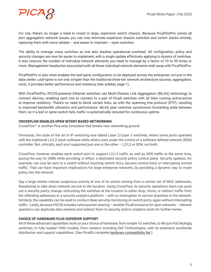

For one, there's no longer a need to invest in large, expensive switch chassis. Because PicaPilotPro solves all port aggregation network issues, you can now eliminate expensive chassis switches and switch stacks entirely, replacing them with more reliable – and easier to maintain – open switches.

The ability to manage many switches as one also slashes operational overhead. All configuration, policy and security changes are now far easier to implement, with a single update effectively applying to dozens of switches. It also reduces the number of individual network elements you need to manage by a factor of 10 to 50 times or more. Management headaches associated with all these individual network elements melt away with PicaPilotPro.

PicaPilotPro is also what enables the leaf-spine configuration to be deployed across the enterprise, not just in the data center. Leaf-spine is not only simpler than the traditional three-tier network architecture (access, aggregation, core), it provides better performance and resiliency (see sidebar, page 1).

With PicaPilotPro, PICOS-powered Ethernet switches use Multi-Chassis Link Aggregation (MLAG) technology to connect devices, enabling each one to connect to a pair of Pica8 switches with all links running active/active to improve resiliency. There's no need to block certain links, as with the spanning tree protocol (STP), resulting in improved bandwidth utilization and performance. MLAG peer switches synchronize forwarding state between them, so if a leaf or spine switch fails, traffic is automatically rerouted for continuous uptime.

#### **CROSSFLOW ENABLES OPEN INTENT-BASED NETWORKING**

CrossFlow™ is another Pica-only innovation that breaks new networking ground.

Previously, the state of the art in IP switching was hybrid Layer 2/Layer 3 switches, where some ports operated with the traditional L2/L3 stack software while others were under the control of a software defined network (SDN) controller. But, critically, each port supported just one or the other – L2/L3 or SDN, not both.

CrossFlow, however, enables each switch port to support L2/L3 traffic as well as SDN traffic at the same time, paving the way for OIBN while providing, in effect, a dedicated security policy control plane. Security updates, for example, can now be sent to a switch without touching switch ACLs (access control lists) or interrupting normal traffic. That can have important implications for large enterprise networks, by providing a dynamic way to insert policy into the network.

Say a large retailer notices suspicious activity at one of its stores coming from a certain set of MAC addresses, threatening to take down network service to the location. Using CrossFlow, its security operations team can push out a security policy change, instructing the switches at the location to either drop, mirror, or redirect traffic from the offending addresses to a security analytics platform – with no interruption to service anywhere in the network. Similarly, the capability can be used to conduct deep security monitoring on switch ports, again without interrupting traffic. Lastly, because PICOS includes native packet steering – another Pica8 exclusive for open networks – network operators can duplicate data streams and redirect them to security and/or analytics tools for further review.

#### **CHOICE OF HARDWARE PLUS SUPERIOR SUPPORT**

All of these advanced capabilities work on your choice of hardware, from simple 1G switches, to 48-port PoE Multigig switches, to fully loaded 100G models, from vendors including Dell Technologies, with its extensive worldwide distribution and support capabilities. (See Pica8's complete hardware compatibility list.)